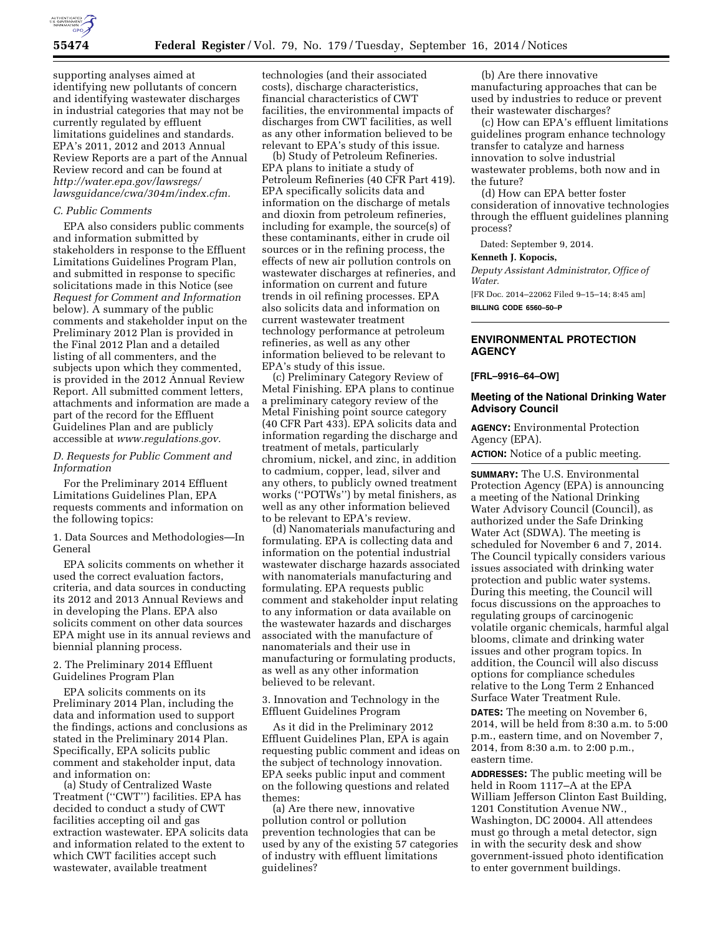

supporting analyses aimed at identifying new pollutants of concern and identifying wastewater discharges in industrial categories that may not be currently regulated by effluent limitations guidelines and standards. EPA's 2011, 2012 and 2013 Annual Review Reports are a part of the Annual Review record and can be found at *[http://water.epa.gov/lawsregs/](http://water.epa.gov/lawsregs/lawsguidance/cwa/304m/index.cfm) [lawsguidance/cwa/304m/index.cfm.](http://water.epa.gov/lawsregs/lawsguidance/cwa/304m/index.cfm)* 

#### *C. Public Comments*

EPA also considers public comments and information submitted by stakeholders in response to the Effluent Limitations Guidelines Program Plan, and submitted in response to specific solicitations made in this Notice (see *Request for Comment and Information*  below). A summary of the public comments and stakeholder input on the Preliminary 2012 Plan is provided in the Final 2012 Plan and a detailed listing of all commenters, and the subjects upon which they commented, is provided in the 2012 Annual Review Report. All submitted comment letters, attachments and information are made a part of the record for the Effluent Guidelines Plan and are publicly accessible at *[www.regulations.gov.](http://www.regulations.gov)* 

## *D. Requests for Public Comment and Information*

For the Preliminary 2014 Effluent Limitations Guidelines Plan, EPA requests comments and information on the following topics:

1. Data Sources and Methodologies—In General

EPA solicits comments on whether it used the correct evaluation factors, criteria, and data sources in conducting its 2012 and 2013 Annual Reviews and in developing the Plans. EPA also solicits comment on other data sources EPA might use in its annual reviews and biennial planning process.

2. The Preliminary 2014 Effluent Guidelines Program Plan

EPA solicits comments on its Preliminary 2014 Plan, including the data and information used to support the findings, actions and conclusions as stated in the Preliminary 2014 Plan. Specifically, EPA solicits public comment and stakeholder input, data and information on:

(a) Study of Centralized Waste Treatment (''CWT'') facilities. EPA has decided to conduct a study of CWT facilities accepting oil and gas extraction wastewater. EPA solicits data and information related to the extent to which CWT facilities accept such wastewater, available treatment

technologies (and their associated costs), discharge characteristics, financial characteristics of CWT facilities, the environmental impacts of discharges from CWT facilities, as well as any other information believed to be relevant to EPA's study of this issue.

(b) Study of Petroleum Refineries. EPA plans to initiate a study of Petroleum Refineries (40 CFR Part 419). EPA specifically solicits data and information on the discharge of metals and dioxin from petroleum refineries, including for example, the source(s) of these contaminants, either in crude oil sources or in the refining process, the effects of new air pollution controls on wastewater discharges at refineries, and information on current and future trends in oil refining processes. EPA also solicits data and information on current wastewater treatment technology performance at petroleum refineries, as well as any other information believed to be relevant to EPA's study of this issue.

(c) Preliminary Category Review of Metal Finishing. EPA plans to continue a preliminary category review of the Metal Finishing point source category (40 CFR Part 433). EPA solicits data and information regarding the discharge and treatment of metals, particularly chromium, nickel, and zinc, in addition to cadmium, copper, lead, silver and any others, to publicly owned treatment works (''POTWs'') by metal finishers, as well as any other information believed to be relevant to EPA's review.

(d) Nanomaterials manufacturing and formulating. EPA is collecting data and information on the potential industrial wastewater discharge hazards associated with nanomaterials manufacturing and formulating. EPA requests public comment and stakeholder input relating to any information or data available on the wastewater hazards and discharges associated with the manufacture of nanomaterials and their use in manufacturing or formulating products, as well as any other information believed to be relevant.

3. Innovation and Technology in the Effluent Guidelines Program

As it did in the Preliminary 2012 Effluent Guidelines Plan, EPA is again requesting public comment and ideas on the subject of technology innovation. EPA seeks public input and comment on the following questions and related themes:

(a) Are there new, innovative pollution control or pollution prevention technologies that can be used by any of the existing 57 categories of industry with effluent limitations guidelines?

(b) Are there innovative manufacturing approaches that can be used by industries to reduce or prevent their wastewater discharges?

(c) How can EPA's effluent limitations guidelines program enhance technology transfer to catalyze and harness innovation to solve industrial wastewater problems, both now and in the future?

(d) How can EPA better foster consideration of innovative technologies through the effluent guidelines planning process?

Dated: September 9, 2014.

## **Kenneth J. Kopocis,**

*Deputy Assistant Administrator, Office of Water.*  [FR Doc. 2014–22062 Filed 9–15–14; 8:45 am] **BILLING CODE 6560–50–P** 

# **ENVIRONMENTAL PROTECTION AGENCY**

#### **[FRL–9916–64–OW]**

## **Meeting of the National Drinking Water Advisory Council**

**AGENCY:** Environmental Protection Agency (EPA).

**ACTION:** Notice of a public meeting.

**SUMMARY:** The U.S. Environmental Protection Agency (EPA) is announcing a meeting of the National Drinking Water Advisory Council (Council), as authorized under the Safe Drinking Water Act (SDWA). The meeting is scheduled for November 6 and 7, 2014. The Council typically considers various issues associated with drinking water protection and public water systems. During this meeting, the Council will focus discussions on the approaches to regulating groups of carcinogenic volatile organic chemicals, harmful algal blooms, climate and drinking water issues and other program topics. In addition, the Council will also discuss options for compliance schedules relative to the Long Term 2 Enhanced Surface Water Treatment Rule.

**DATES:** The meeting on November 6, 2014, will be held from 8:30 a.m. to 5:00 p.m., eastern time, and on November 7, 2014, from 8:30 a.m. to 2:00 p.m., eastern time.

**ADDRESSES:** The public meeting will be held in Room 1117–A at the EPA William Jefferson Clinton East Building, 1201 Constitution Avenue NW., Washington, DC 20004. All attendees must go through a metal detector, sign in with the security desk and show government-issued photo identification to enter government buildings.